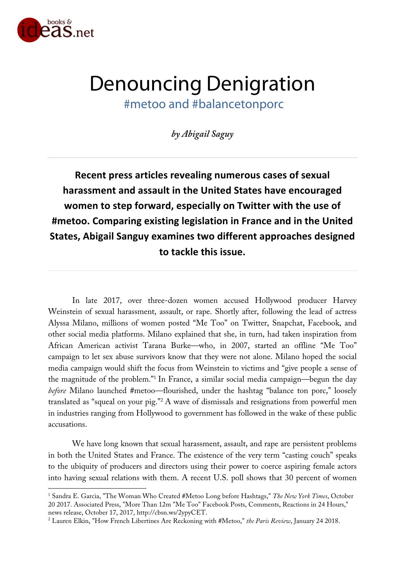

 $\overline{a}$ 

# Denouncing Denigration #metoo and #balancetonporc

*by Abigail Saguy*

**Recent press articles revealing numerous cases of sexual harassment and assault in the United States have encouraged women to step forward, especially on Twitter with the use of #metoo. Comparing existing legislation in France and in the United States, Abigail Sanguy examines two different approaches designed to tackle this issue.**

In late 2017, over three-dozen women accused Hollywood producer Harvey Weinstein of sexual harassment, assault, or rape. Shortly after, following the lead of actress Alyssa Milano, millions of women posted "Me Too" on Twitter, Snapchat, Facebook, and other social media platforms. Milano explained that she, in turn, had taken inspiration from African American activist Tarana Burke—who, in 2007, started an offline "Me Too" campaign to let sex abuse survivors know that they were not alone. Milano hoped the social media campaign would shift the focus from Weinstein to victims and "give people a sense of the magnitude of the problem."1 In France, a similar social media campaign—begun the day *before* Milano launched #metoo—flourished, under the hashtag "balance ton porc," loosely translated as "squeal on your pig."2 A wave of dismissals and resignations from powerful men in industries ranging from Hollywood to government has followed in the wake of these public accusations.

We have long known that sexual harassment, assault, and rape are persistent problems in both the United States and France. The existence of the very term "casting couch" speaks to the ubiquity of producers and directors using their power to coerce aspiring female actors into having sexual relations with them. A recent U.S. poll shows that 30 percent of women

<sup>1</sup> Sandra E. Garcia, "The Woman Who Created #Metoo Long before Hashtags," *The New York Times*, October 20 2017. Associated Press, "More Than 12m "Me Too" Facebook Posts, Comments, Reactions in 24 Hours," news release, October 17, 2017, http://cbsn.ws/2ypyCET.

<sup>2</sup> Lauren Elkin, "How French Libertines Are Reckoning with #Metoo," *the Paris Review*, January 24 2018.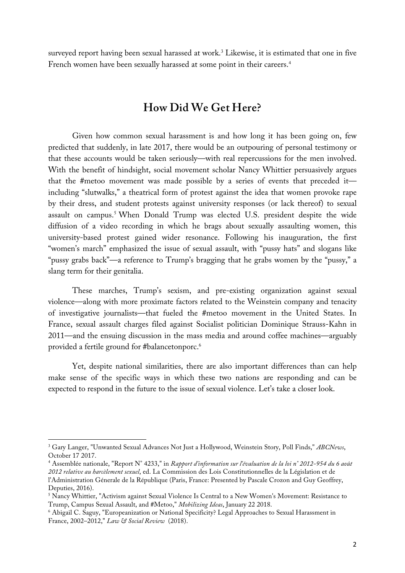surveyed report having been sexual harassed at work.<sup>3</sup> Likewise, it is estimated that one in five French women have been sexually harassed at some point in their careers.<sup>4</sup>

### **How Did We Get Here?**

Given how common sexual harassment is and how long it has been going on, few predicted that suddenly, in late 2017, there would be an outpouring of personal testimony or that these accounts would be taken seriously—with real repercussions for the men involved. With the benefit of hindsight, social movement scholar Nancy Whittier persuasively argues that the #metoo movement was made possible by a series of events that preceded it including "slutwalks," a theatrical form of protest against the idea that women provoke rape by their dress, and student protests against university responses (or lack thereof) to sexual assault on campus.5 When Donald Trump was elected U.S. president despite the wide diffusion of a video recording in which he brags about sexually assaulting women, this university-based protest gained wider resonance. Following his inauguration, the first "women's march" emphasized the issue of sexual assault, with "pussy hats" and slogans like "pussy grabs back"—a reference to Trump's bragging that he grabs women by the "pussy," a slang term for their genitalia.

These marches, Trump's sexism, and pre-existing organization against sexual violence—along with more proximate factors related to the Weinstein company and tenacity of investigative journalists—that fueled the #metoo movement in the United States. In France, sexual assault charges filed against Socialist politician Dominique Strauss-Kahn in 2011—and the ensuing discussion in the mass media and around coffee machines—arguably provided a fertile ground for #balancetonporc.6

Yet, despite national similarities, there are also important differences than can help make sense of the specific ways in which these two nations are responding and can be expected to respond in the future to the issue of sexual violence. Let's take a closer look.

<sup>3</sup> Gary Langer, "Unwanted Sexual Advances Not Just a Hollywood, Weinstein Story, Poll Finds," *ABCNews*, October 17 2017.

<sup>4</sup> Assemblée nationale, "Report N° 4233," in *Rapport d'information sur l'évaluation de la loi n° 2012-954 du 6 août 2012 relative au harcèlement sexuel*, ed. La Commission des Lois Constitutionnelles de la Législation et de l'Administration Génerale de la République (Paris, France: Presented by Pascale Crozon and Guy Geoffrey, Deputies, 2016).

<sup>&</sup>lt;sup>5</sup> Nancy Whittier, "Activism against Sexual Violence Is Central to a New Women's Movement: Resistance to Trump, Campus Sexual Assault, and #Metoo," *Mobilizing Ideas*, January 22 2018.

<sup>6</sup> Abigail C. Saguy, "Europeanization or National Specificity? Legal Approaches to Sexual Harassment in France, 2002–2012," *Law & Social Review* (2018).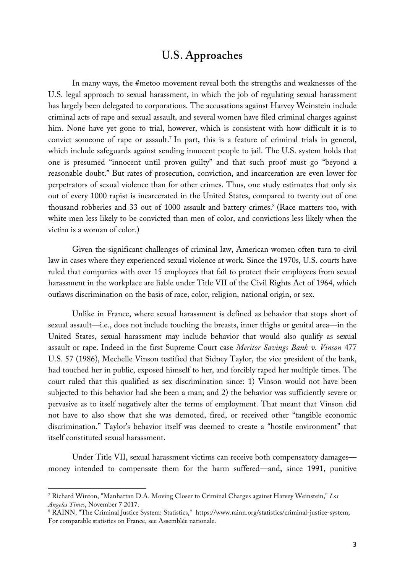### **U.S. Approaches**

In many ways, the #metoo movement reveal both the strengths and weaknesses of the U.S. legal approach to sexual harassment, in which the job of regulating sexual harassment has largely been delegated to corporations. The accusations against Harvey Weinstein include criminal acts of rape and sexual assault, and several women have filed criminal charges against him. None have yet gone to trial, however, which is consistent with how difficult it is to convict someone of rape or assault.<sup>7</sup> In part, this is a feature of criminal trials in general, which include safeguards against sending innocent people to jail. The U.S. system holds that one is presumed "innocent until proven guilty" and that such proof must go "beyond a reasonable doubt." But rates of prosecution, conviction, and incarceration are even lower for perpetrators of sexual violence than for other crimes. Thus, one study estimates that only six out of every 1000 rapist is incarcerated in the United States, compared to twenty out of one thousand robberies and 33 out of 1000 assault and battery crimes.<sup>8</sup> (Race matters too, with white men less likely to be convicted than men of color, and convictions less likely when the victim is a woman of color.)

Given the significant challenges of criminal law, American women often turn to civil law in cases where they experienced sexual violence at work. Since the 1970s, U.S. courts have ruled that companies with over 15 employees that fail to protect their employees from sexual harassment in the workplace are liable under Title VII of the Civil Rights Act of 1964, which outlaws discrimination on the basis of race, color, religion, national origin, or sex.

Unlike in France, where sexual harassment is defined as behavior that stops short of sexual assault—i.e., does not include touching the breasts, inner thighs or genital area—in the United States, sexual harassment may include behavior that would also qualify as sexual assault or rape. Indeed in the first Supreme Court case *Meritor Savings Bank v. Vinson* 477 U.S. 57 (1986), Mechelle Vinson testified that Sidney Taylor, the vice president of the bank, had touched her in public, exposed himself to her, and forcibly raped her multiple times. The court ruled that this qualified as sex discrimination since: 1) Vinson would not have been subjected to this behavior had she been a man; and 2) the behavior was sufficiently severe or pervasive as to itself negatively alter the terms of employment. That meant that Vinson did not have to also show that she was demoted, fired, or received other "tangible economic discrimination." Taylor's behavior itself was deemed to create a "hostile environment" that itself constituted sexual harassment.

Under Title VII, sexual harassment victims can receive both compensatory damages money intended to compensate them for the harm suffered—and, since 1991, punitive

<sup>7</sup> Richard Winton, "Manhattan D.A. Moving Closer to Criminal Charges against Harvey Weinstein," *Los Angeles Times*, November 7 2017.

<sup>8</sup> RAINN, "The Criminal Justice System: Statistics," https://www.rainn.org/statistics/criminal-justice-system; For comparable statistics on France, see Assemblée nationale.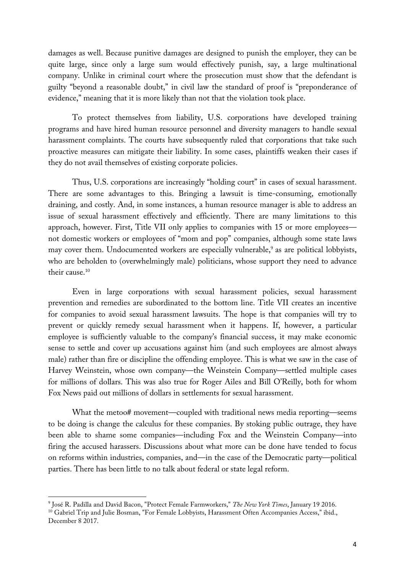damages as well. Because punitive damages are designed to punish the employer, they can be quite large, since only a large sum would effectively punish, say, a large multinational company. Unlike in criminal court where the prosecution must show that the defendant is guilty "beyond a reasonable doubt," in civil law the standard of proof is "preponderance of evidence," meaning that it is more likely than not that the violation took place.

To protect themselves from liability, U.S. corporations have developed training programs and have hired human resource personnel and diversity managers to handle sexual harassment complaints. The courts have subsequently ruled that corporations that take such proactive measures can mitigate their liability. In some cases, plaintiffs weaken their cases if they do not avail themselves of existing corporate policies.

Thus, U.S. corporations are increasingly "holding court" in cases of sexual harassment. There are some advantages to this. Bringing a lawsuit is time-consuming, emotionally draining, and costly. And, in some instances, a human resource manager is able to address an issue of sexual harassment effectively and efficiently. There are many limitations to this approach, however. First, Title VII only applies to companies with 15 or more employees not domestic workers or employees of "mom and pop" companies, although some state laws may cover them. Undocumented workers are especially vulnerable,<sup>9</sup> as are political lobbyists, who are beholden to (overwhelmingly male) politicians, whose support they need to advance their cause.10

Even in large corporations with sexual harassment policies, sexual harassment prevention and remedies are subordinated to the bottom line. Title VII creates an incentive for companies to avoid sexual harassment lawsuits. The hope is that companies will try to prevent or quickly remedy sexual harassment when it happens. If, however, a particular employee is sufficiently valuable to the company's financial success, it may make economic sense to settle and cover up accusations against him (and such employees are almost always male) rather than fire or discipline the offending employee. This is what we saw in the case of Harvey Weinstein, whose own company—the Weinstein Company—settled multiple cases for millions of dollars. This was also true for Roger Ailes and Bill O'Reilly, both for whom Fox News paid out millions of dollars in settlements for sexual harassment.

What the metoo# movement—coupled with traditional news media reporting—seems to be doing is change the calculus for these companies. By stoking public outrage, they have been able to shame some companies—including Fox and the Weinstein Company—into firing the accused harassers. Discussions about what more can be done have tended to focus on reforms within industries, companies, and—in the case of the Democratic party—political parties. There has been little to no talk about federal or state legal reform.

<sup>9</sup> José R. Padilla and David Bacon, "Protect Female Farmworkers," *The New York Times*, January 19 2016.

<sup>&</sup>lt;sup>10</sup> Gabriel Trip and Julie Bosman, "For Female Lobbyists, Harassment Often Accompanies Access," ibid., December 8 2017.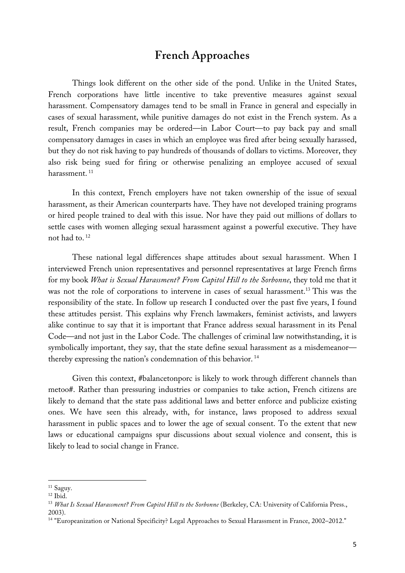## **French Approaches**

Things look different on the other side of the pond. Unlike in the United States, French corporations have little incentive to take preventive measures against sexual harassment. Compensatory damages tend to be small in France in general and especially in cases of sexual harassment, while punitive damages do not exist in the French system. As a result, French companies may be ordered—in Labor Court—to pay back pay and small compensatory damages in cases in which an employee was fired after being sexually harassed, but they do not risk having to pay hundreds of thousands of dollars to victims. Moreover, they also risk being sued for firing or otherwise penalizing an employee accused of sexual harassment.<sup>11</sup>

In this context, French employers have not taken ownership of the issue of sexual harassment, as their American counterparts have. They have not developed training programs or hired people trained to deal with this issue. Nor have they paid out millions of dollars to settle cases with women alleging sexual harassment against a powerful executive. They have not had to. <sup>12</sup>

These national legal differences shape attitudes about sexual harassment. When I interviewed French union representatives and personnel representatives at large French firms for my book *What is Sexual Harassment? From Capitol Hill to the Sorbonne*, they told me that it was not the role of corporations to intervene in cases of sexual harassment.<sup>13</sup> This was the responsibility of the state. In follow up research I conducted over the past five years, I found these attitudes persist. This explains why French lawmakers, feminist activists, and lawyers alike continue to say that it is important that France address sexual harassment in its Penal Code—and not just in the Labor Code. The challenges of criminal law notwithstanding, it is symbolically important, they say, that the state define sexual harassment as a misdemeanor thereby expressing the nation's condemnation of this behavior. 14

Given this context, #balancetonporc is likely to work through different channels than metoo#. Rather than pressuring industries or companies to take action, French citizens are likely to demand that the state pass additional laws and better enforce and publicize existing ones. We have seen this already, with, for instance, laws proposed to address sexual harassment in public spaces and to lower the age of sexual consent. To the extent that new laws or educational campaigns spur discussions about sexual violence and consent, this is likely to lead to social change in France.

<sup>&</sup>lt;sup>11</sup> Saguv.

 $12$  Ibid.

<sup>13</sup> *What Is Sexual Harassment? From Capitol Hill to the Sorbonne* (Berkeley, CA: University of California Press., 2003).

<sup>&</sup>lt;sup>14</sup> "Europeanization or National Specificity? Legal Approaches to Sexual Harassment in France, 2002–2012."